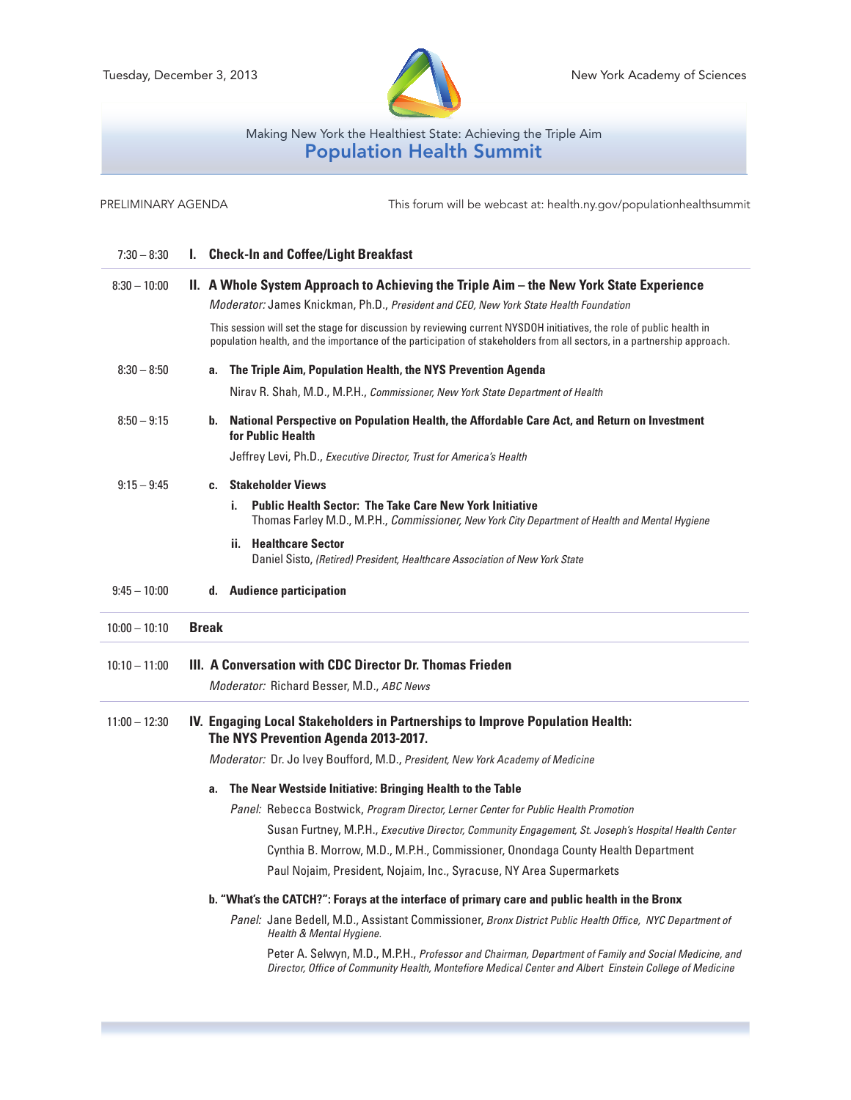

## Making New York the Healthiest State: Achieving the Triple Aim Population Health Summit

7:30 – 8:30 **I. Check-In and Coffee/Light Breakfast** 8:30 – 10:00 **II. A Whole System Approach to Achieving the Triple Aim – the New York State Experience** *Moderator:* James Knickman, Ph.D., *President and CEO, New York State Health Foundation* PRELIMINARY AGENDA This forum will be webcast at: health.ny.gov/populationhealthsummit

> This session will set the stage for discussion by reviewing current NYSDOH initiatives, the role of public health in population health, and the importance of the participation of stakeholders from all sectors, in a partnership approach.

8:30 – 8:50 **a. The Triple Aim, Population Health, the NYS Prevention Agenda**

Nirav R. Shah, M.D., M.P.H., *Commissioner, New York State Department of Health*

# 8:50 – 9:15 **b. National Perspective on Population Health, the Affordable Care Act, and Return on Investment for Public Health**

Jeffrey Levi, Ph.D., *Executive Director, Trust for America's Health*

#### 9:15 – 9:45 **c. Stakeholder Views**

**i. Public Health Sector: The Take Care New York Initiative**  Thomas Farley M.D., M.P.H., *Commissioner, New York City Department of Health and Mental Hygiene* **ii. Healthcare Sector**

Daniel Sisto, *(Retired) President, Healthcare Association of New York State*

## 9:45 – 10:00 **d. Audience participation**

# 10:00 – 10:10 **Break**

## 10:10 – 11:00 **III. A Conversation with CDC Director Dr. Thomas Frieden**

*Moderator:* Richard Besser, M.D., *ABC News*

## 11:00 – 12:30 **IV. Engaging Local Stakeholders in Partnerships to Improve Population Health: The NYS Prevention Agenda 2013-2017.**

*Moderator:* Dr. Jo Ivey Boufford, M.D., *President, New York Academy of Medicine*

### **a. The Near Westside Initiative: Bringing Health to the Table**

*Panel:* Rebecca Bostwick, *Program Director, Lerner Center for Public Health Promotion*

Susan Furtney, M.P.H., *Executive Director, Community Engagement, St. Joseph's Hospital Health Center*

Cynthia B. Morrow, M.D., M.P.H., Commissioner, Onondaga County Health Department

Paul Nojaim, President, Nojaim, Inc., Syracuse, NY Area Supermarkets

#### **b. "What's the CATCH?": Forays at the interface of primary care and public health in the Bronx**

 *Panel:* Jane Bedell, M.D., Assistant Commissioner, *Bronx District Public Health Office, NYC Department of Health & Mental Hygiene.* 

 Peter A. Selwyn, M.D., M.P.H., *Professor and Chairman, Department of Family and Social Medicine, and Director, Office of Community Health, Montefiore Medical Center and Albert Einstein College of Medicine*